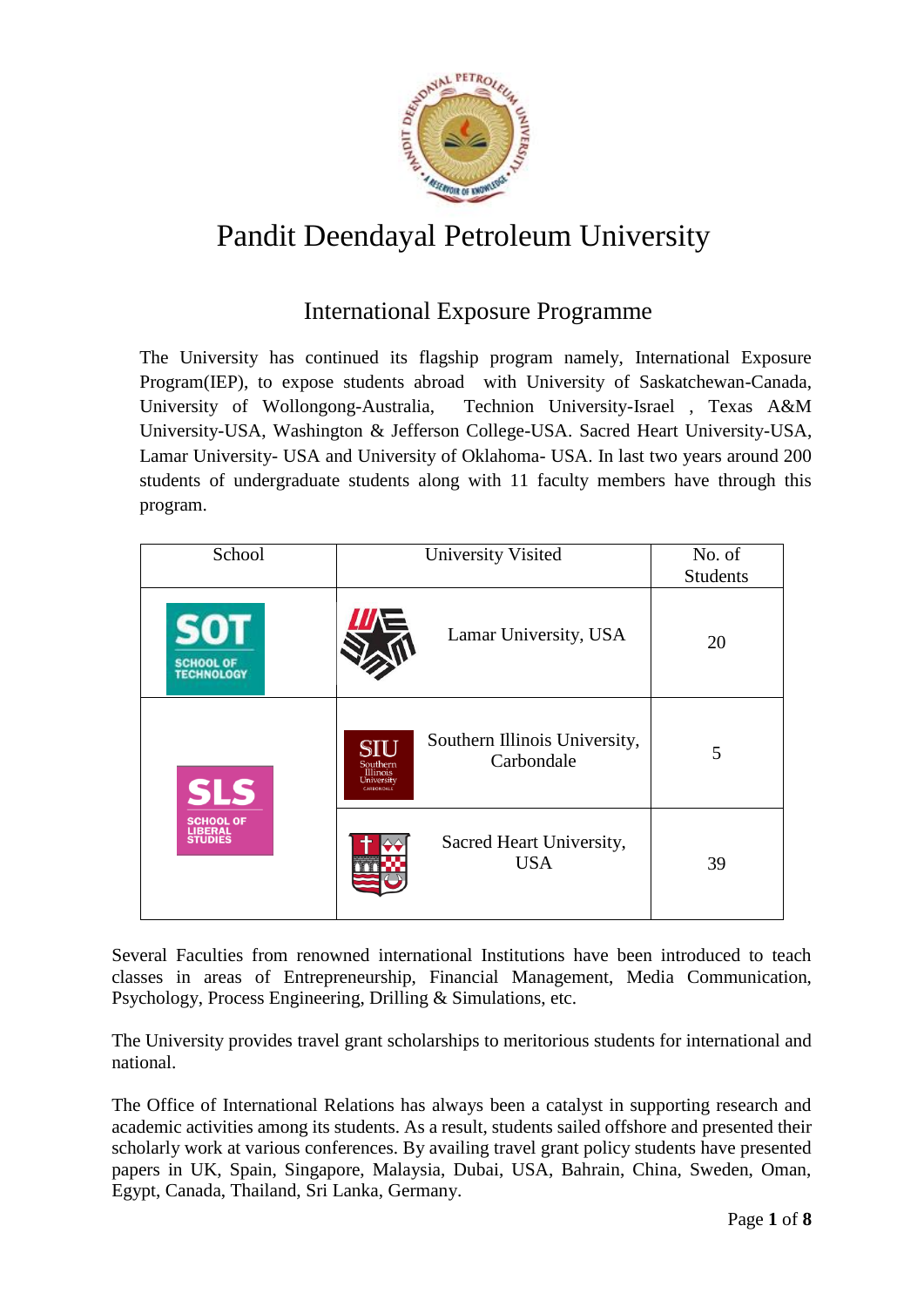

# Pandit Deendayal Petroleum University

## International Exposure Programme

The University has continued its flagship program namely, International Exposure Program(IEP), to expose students abroad with University of Saskatchewan-Canada, University of Wollongong-Australia, Technion University-Israel , Texas A&M University-USA, Washington & Jefferson College-USA. Sacred Heart University-USA, Lamar University- USA and University of Oklahoma- USA. In last two years around 200 students of undergraduate students along with 11 faculty members have through this program.

| School                                               | <b>University Visited</b>                                                                              | No. of<br><b>Students</b> |
|------------------------------------------------------|--------------------------------------------------------------------------------------------------------|---------------------------|
| 50<br><b>SCHOOL OF</b><br><b>TECHNOLOGY</b>          | Lamar University, USA                                                                                  | 20                        |
| <b>SLS</b>                                           | Southern Illinois University,<br>SIU<br>Carbondale<br>Southern<br>Illinois<br>University<br>CARBONDALE | 5                         |
| <b>SCHOOL OF</b><br><b>LIBERAL</b><br><b>STUDIES</b> | Sacred Heart University,<br><b>USA</b>                                                                 | 39                        |

Several Faculties from renowned international Institutions have been introduced to teach classes in areas of Entrepreneurship, Financial Management, Media Communication, Psychology, Process Engineering, Drilling & Simulations, etc.

The University provides travel grant scholarships to meritorious students for international and national.

The Office of International Relations has always been a catalyst in supporting research and academic activities among its students. As a result, students sailed offshore and presented their scholarly work at various conferences. By availing travel grant policy students have presented papers in UK, Spain, Singapore, Malaysia, Dubai, USA, Bahrain, China, Sweden, Oman, Egypt, Canada, Thailand, Sri Lanka, Germany.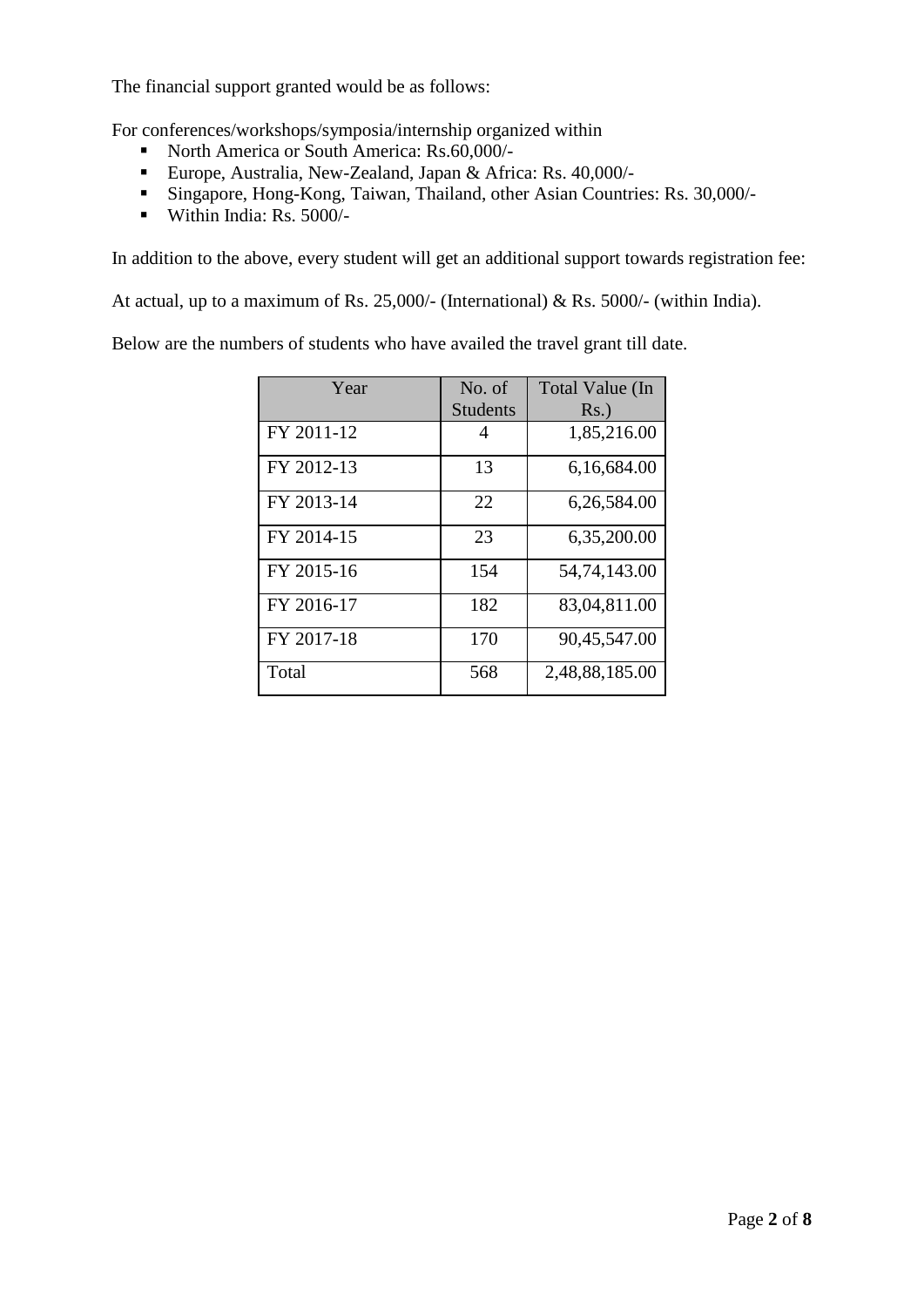The financial support granted would be as follows:

For conferences/workshops/symposia/internship organized within

- North America or South America: Rs.60,000/-
- Europe, Australia, New-Zealand, Japan & Africa: Rs. 40,000/-
- Singapore, Hong-Kong, Taiwan, Thailand, other Asian Countries: Rs. 30,000/-
- Within India:  $\text{Rs. } 5000/-$

In addition to the above, every student will get an additional support towards registration fee:

At actual, up to a maximum of Rs. 25,000/- (International) & Rs. 5000/- (within India).

Below are the numbers of students who have availed the travel grant till date.

| Year       | No. of<br><b>Students</b> | Total Value (In<br>$Rs.$ ) |
|------------|---------------------------|----------------------------|
| FY 2011-12 | 4                         | 1,85,216.00                |
| FY 2012-13 | 13                        | 6,16,684.00                |
| FY 2013-14 | 22                        | 6,26,584.00                |
| FY 2014-15 | 23                        | 6,35,200.00                |
| FY 2015-16 | 154                       | 54,74,143.00               |
| FY 2016-17 | 182                       | 83,04,811.00               |
| FY 2017-18 | 170                       | 90,45,547.00               |
| Total      | 568                       | 2,48,88,185.00             |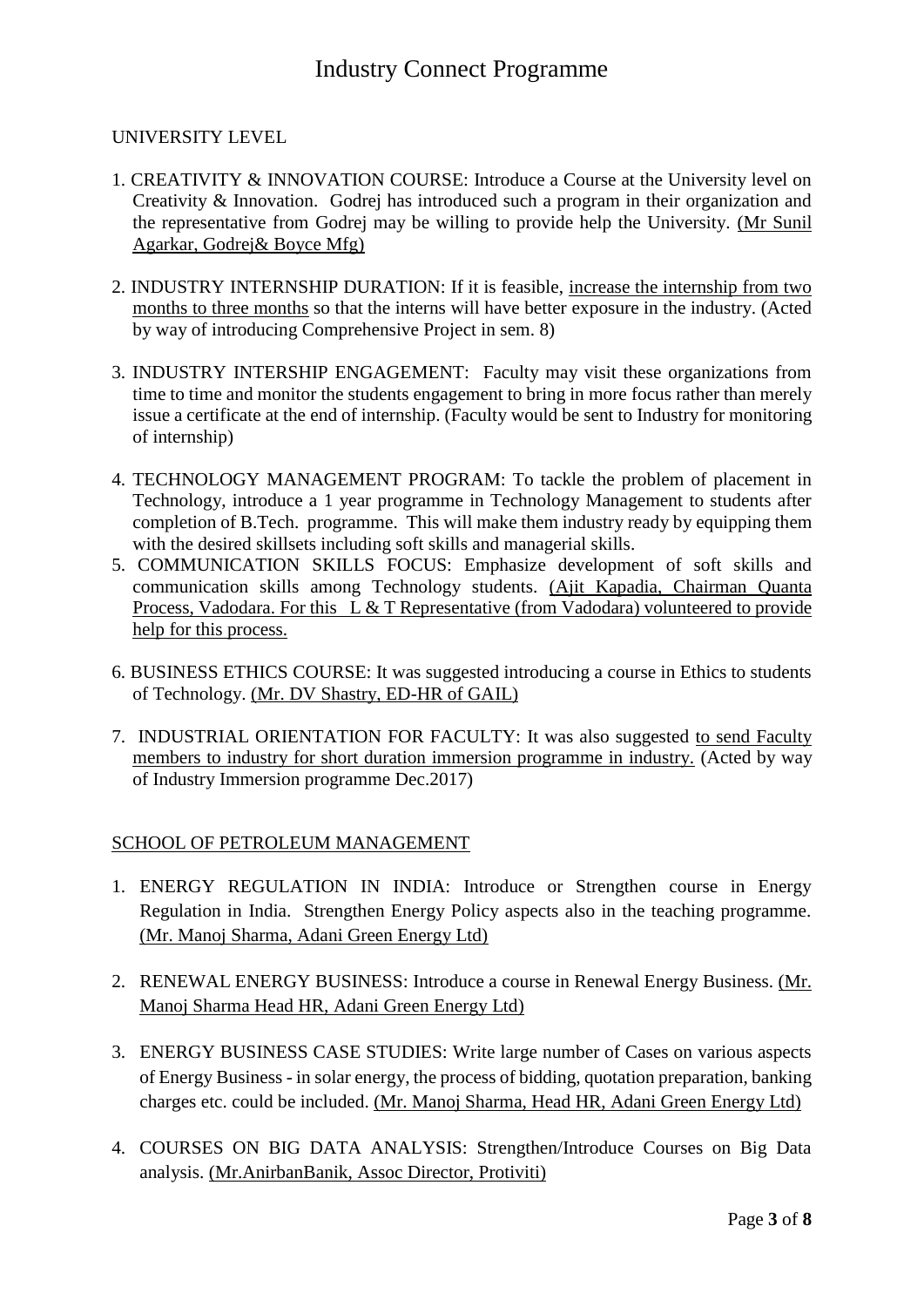#### UNIVERSITY LEVEL

- 1. CREATIVITY & INNOVATION COURSE: Introduce a Course at the University level on Creativity & Innovation. Godrej has introduced such a program in their organization and the representative from Godrej may be willing to provide help the University. (Mr Sunil Agarkar, Godrej& Boyce Mfg)
- 2. INDUSTRY INTERNSHIP DURATION: If it is feasible, increase the internship from two months to three months so that the interns will have better exposure in the industry. (Acted by way of introducing Comprehensive Project in sem. 8)
- 3. INDUSTRY INTERSHIP ENGAGEMENT: Faculty may visit these organizations from time to time and monitor the students engagement to bring in more focus rather than merely issue a certificate at the end of internship. (Faculty would be sent to Industry for monitoring of internship)
- 4. TECHNOLOGY MANAGEMENT PROGRAM: To tackle the problem of placement in Technology, introduce a 1 year programme in Technology Management to students after completion of B.Tech. programme. This will make them industry ready by equipping them with the desired skillsets including soft skills and managerial skills.
- 5. COMMUNICATION SKILLS FOCUS: Emphasize development of soft skills and communication skills among Technology students. (Ajit Kapadia, Chairman Quanta Process, Vadodara. For this L & T Representative (from Vadodara) volunteered to provide help for this process.
- 6. BUSINESS ETHICS COURSE: It was suggested introducing a course in Ethics to students of Technology. (Mr. DV Shastry, ED-HR of GAIL)
- 7. INDUSTRIAL ORIENTATION FOR FACULTY: It was also suggested to send Faculty members to industry for short duration immersion programme in industry. (Acted by way of Industry Immersion programme Dec.2017)

#### SCHOOL OF PETROLEUM MANAGEMENT

- 1. ENERGY REGULATION IN INDIA: Introduce or Strengthen course in Energy Regulation in India. Strengthen Energy Policy aspects also in the teaching programme. (Mr. Manoj Sharma, Adani Green Energy Ltd)
- 2. RENEWAL ENERGY BUSINESS: Introduce a course in Renewal Energy Business. (Mr. Manoj Sharma Head HR, Adani Green Energy Ltd)
- 3. ENERGY BUSINESS CASE STUDIES: Write large number of Cases on various aspects of Energy Business - in solar energy, the process of bidding, quotation preparation, banking charges etc. could be included. (Mr. Manoj Sharma, Head HR, Adani Green Energy Ltd)
- 4. COURSES ON BIG DATA ANALYSIS: Strengthen/Introduce Courses on Big Data analysis. (Mr.AnirbanBanik, Assoc Director, Protiviti)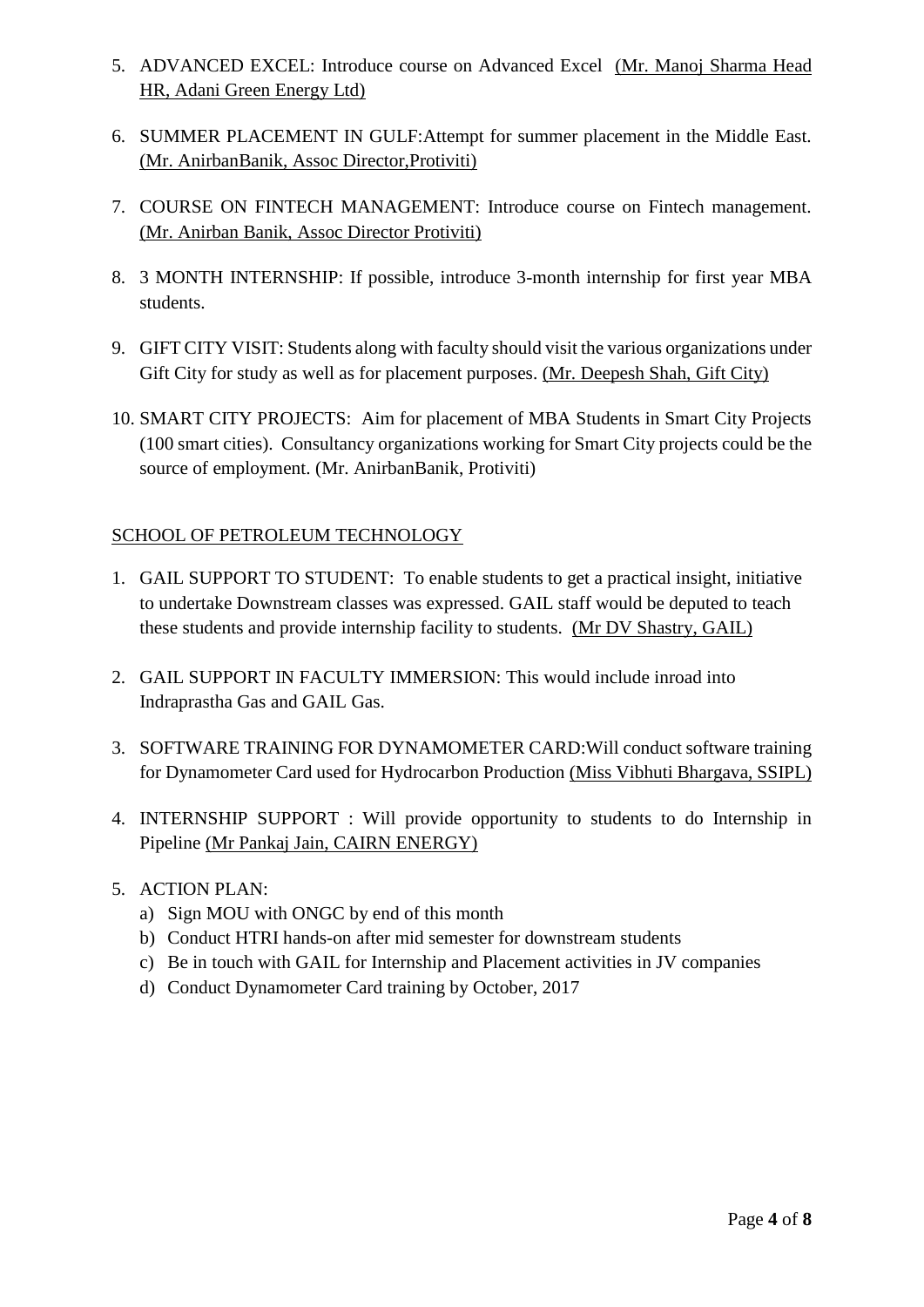- 5. ADVANCED EXCEL: Introduce course on Advanced Excel (Mr. Manoj Sharma Head HR, Adani Green Energy Ltd)
- 6. SUMMER PLACEMENT IN GULF:Attempt for summer placement in the Middle East. (Mr. AnirbanBanik, Assoc Director,Protiviti)
- 7. COURSE ON FINTECH MANAGEMENT: Introduce course on Fintech management. (Mr. Anirban Banik, Assoc Director Protiviti)
- 8. 3 MONTH INTERNSHIP: If possible, introduce 3-month internship for first year MBA students.
- 9. GIFT CITY VISIT: Students along with faculty should visit the various organizations under Gift City for study as well as for placement purposes. (Mr. Deepesh Shah, Gift City)
- 10. SMART CITY PROJECTS: Aim for placement of MBA Students in Smart City Projects (100 smart cities). Consultancy organizations working for Smart City projects could be the source of employment. (Mr. AnirbanBanik, Protiviti)

### SCHOOL OF PETROLEUM TECHNOLOGY

- 1. GAIL SUPPORT TO STUDENT: To enable students to get a practical insight, initiative to undertake Downstream classes was expressed. GAIL staff would be deputed to teach these students and provide internship facility to students. (Mr DV Shastry, GAIL)
- 2. GAIL SUPPORT IN FACULTY IMMERSION: This would include inroad into Indraprastha Gas and GAIL Gas.
- 3. SOFTWARE TRAINING FOR DYNAMOMETER CARD:Will conduct software training for Dynamometer Card used for Hydrocarbon Production (Miss Vibhuti Bhargava, SSIPL)
- 4. INTERNSHIP SUPPORT : Will provide opportunity to students to do Internship in Pipeline (Mr Pankaj Jain, CAIRN ENERGY)

#### 5. ACTION PLAN:

- a) Sign MOU with ONGC by end of this month
- b) Conduct HTRI hands-on after mid semester for downstream students
- c) Be in touch with GAIL for Internship and Placement activities in JV companies
- d) Conduct Dynamometer Card training by October, 2017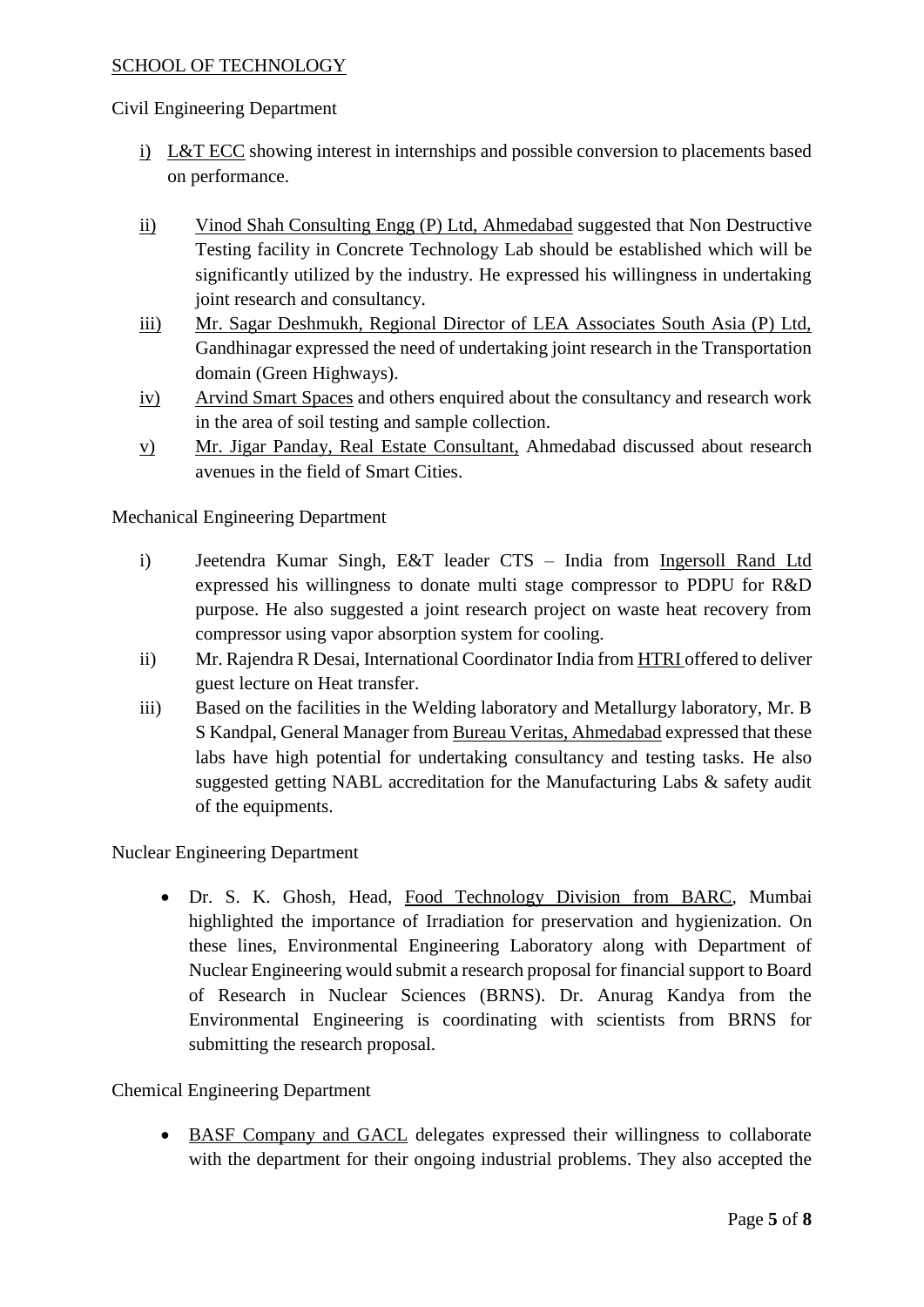#### SCHOOL OF TECHNOLOGY

#### Civil Engineering Department

- i) L&T ECC showing interest in internships and possible conversion to placements based on performance.
- ii) Vinod Shah Consulting Engg (P) Ltd, Ahmedabad suggested that Non Destructive Testing facility in Concrete Technology Lab should be established which will be significantly utilized by the industry. He expressed his willingness in undertaking joint research and consultancy.
- iii) Mr. Sagar Deshmukh, Regional Director of LEA Associates South Asia (P) Ltd, Gandhinagar expressed the need of undertaking joint research in the Transportation domain (Green Highways).
- iv) Arvind Smart Spaces and others enquired about the consultancy and research work in the area of soil testing and sample collection.
- v) Mr. Jigar Panday, Real Estate Consultant, Ahmedabad discussed about research avenues in the field of Smart Cities.

Mechanical Engineering Department

- i) Jeetendra Kumar Singh, E&T leader CTS India from Ingersoll Rand Ltd expressed his willingness to donate multi stage compressor to PDPU for R&D purpose. He also suggested a joint research project on waste heat recovery from compressor using vapor absorption system for cooling.
- ii) Mr. Rajendra R Desai, International Coordinator India from HTRI offered to deliver guest lecture on Heat transfer.
- iii) Based on the facilities in the Welding laboratory and Metallurgy laboratory, Mr. B S Kandpal, General Manager from Bureau Veritas, Ahmedabad expressed that these labs have high potential for undertaking consultancy and testing tasks. He also suggested getting NABL accreditation for the Manufacturing Labs & safety audit of the equipments.

Nuclear Engineering Department

 Dr. S. K. Ghosh, Head, Food Technology Division from BARC, Mumbai highlighted the importance of Irradiation for preservation and hygienization. On these lines, Environmental Engineering Laboratory along with Department of Nuclear Engineering would submit a research proposal for financial support to Board of Research in Nuclear Sciences (BRNS). Dr. Anurag Kandya from the Environmental Engineering is coordinating with scientists from BRNS for submitting the research proposal.

Chemical Engineering Department

 BASF Company and GACL delegates expressed their willingness to collaborate with the department for their ongoing industrial problems. They also accepted the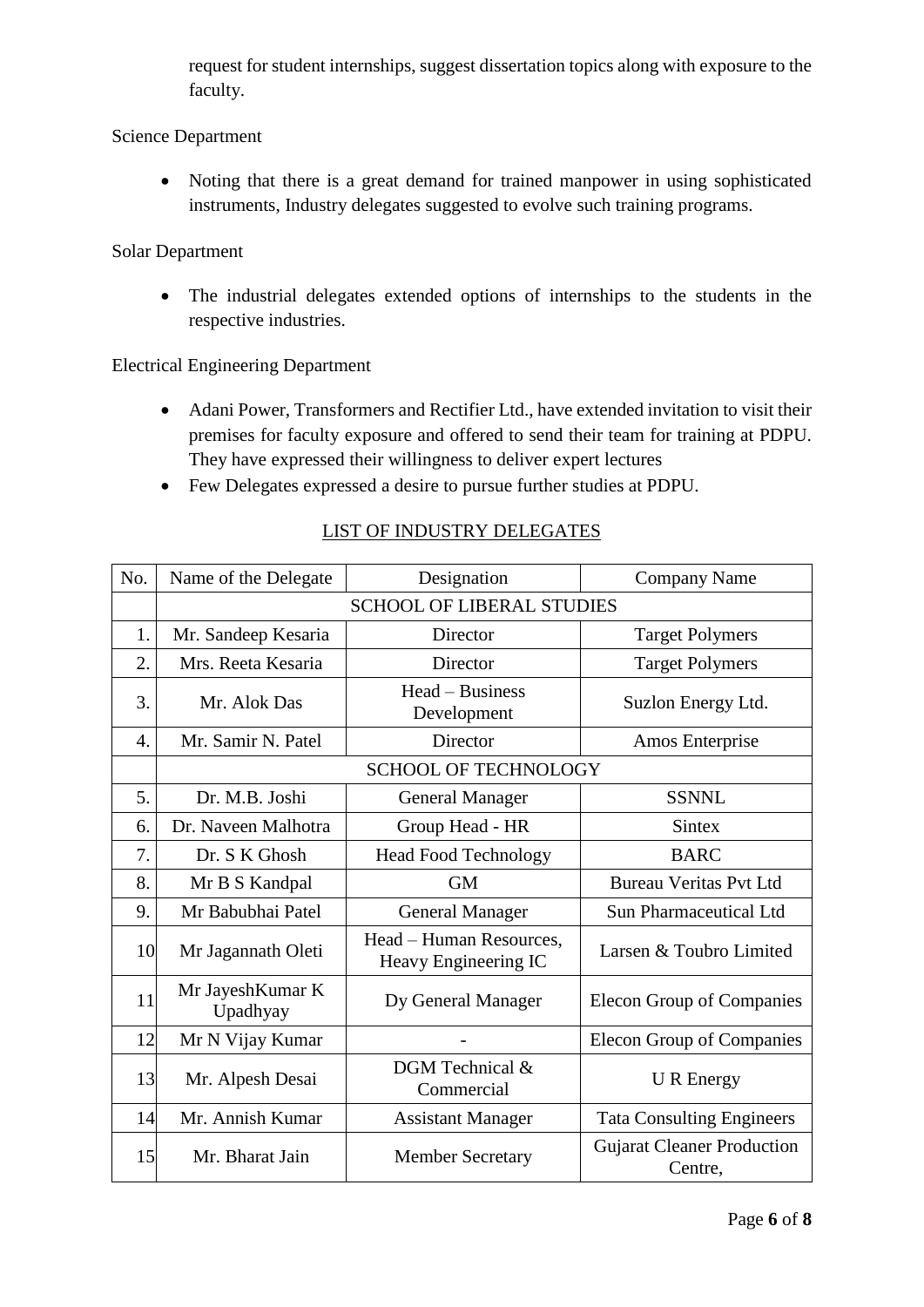request for student internships, suggest dissertation topics along with exposure to the faculty.

#### Science Department

• Noting that there is a great demand for trained manpower in using sophisticated instruments, Industry delegates suggested to evolve such training programs.

#### Solar Department

 The industrial delegates extended options of internships to the students in the respective industries.

#### Electrical Engineering Department

- Adani Power, Transformers and Rectifier Ltd., have extended invitation to visit their premises for faculty exposure and offered to send their team for training at PDPU. They have expressed their willingness to deliver expert lectures
- Few Delegates expressed a desire to pursue further studies at PDPU.

| No.              | Name of the Delegate             | Designation                                     | <b>Company Name</b>                          |  |
|------------------|----------------------------------|-------------------------------------------------|----------------------------------------------|--|
|                  | <b>SCHOOL OF LIBERAL STUDIES</b> |                                                 |                                              |  |
| 1.               | Mr. Sandeep Kesaria              | Director                                        | <b>Target Polymers</b>                       |  |
| $\overline{2}$ . | Mrs. Reeta Kesaria               | Director                                        | <b>Target Polymers</b>                       |  |
| 3.               | Mr. Alok Das                     | Head – Business<br>Development                  | Suzlon Energy Ltd.                           |  |
| 4.               | Mr. Samir N. Patel               | Director                                        | Amos Enterprise                              |  |
|                  | <b>SCHOOL OF TECHNOLOGY</b>      |                                                 |                                              |  |
| 5.               | Dr. M.B. Joshi                   | <b>General Manager</b>                          | <b>SSNNL</b>                                 |  |
| 6.               | Dr. Naveen Malhotra              | Group Head - HR                                 | <b>Sintex</b>                                |  |
| 7.               | Dr. S K Ghosh                    | <b>Head Food Technology</b>                     | <b>BARC</b>                                  |  |
| 8.               | Mr B S Kandpal                   | <b>GM</b>                                       | <b>Bureau Veritas Pvt Ltd</b>                |  |
| 9.               | Mr Babubhai Patel                | <b>General Manager</b>                          | <b>Sun Pharmaceutical Ltd</b>                |  |
| 10               | Mr Jagannath Oleti               | Head - Human Resources,<br>Heavy Engineering IC | Larsen & Toubro Limited                      |  |
| 11               | Mr JayeshKumar K<br>Upadhyay     | Dy General Manager                              | <b>Elecon Group of Companies</b>             |  |
| 12               | Mr N Vijay Kumar                 |                                                 | Elecon Group of Companies                    |  |
| 13               | Mr. Alpesh Desai                 | DGM Technical &<br>Commercial                   | <b>U</b> R Energy                            |  |
| 14               | Mr. Annish Kumar                 | <b>Assistant Manager</b>                        | <b>Tata Consulting Engineers</b>             |  |
| 15               | Mr. Bharat Jain                  | <b>Member Secretary</b>                         | <b>Gujarat Cleaner Production</b><br>Centre, |  |

#### LIST OF INDUSTRY DELEGATES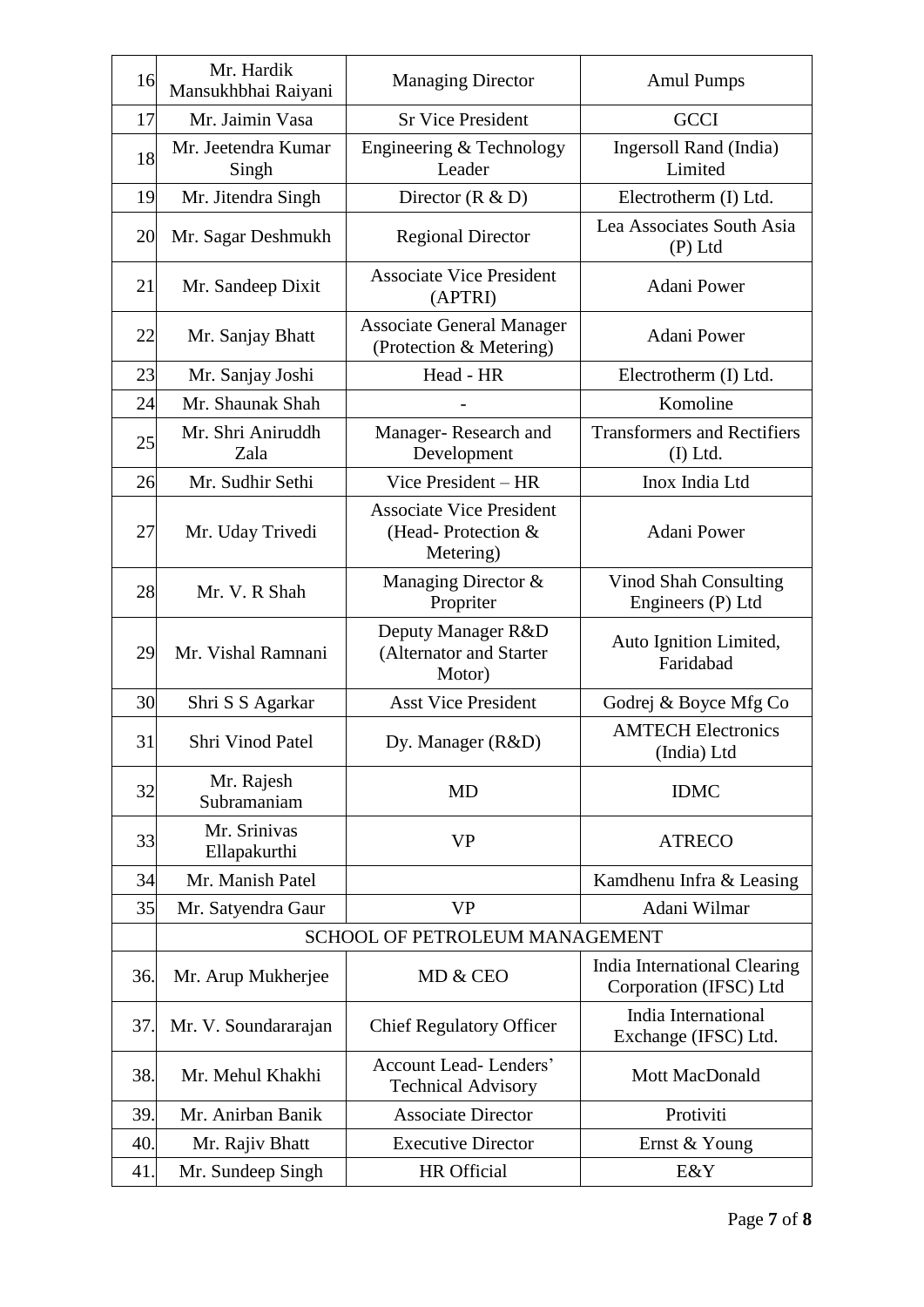| 16  | Mr. Hardik<br>Mansukhbhai Raiyani | <b>Managing Director</b>                                           | <b>Amul Pumps</b>                                      |
|-----|-----------------------------------|--------------------------------------------------------------------|--------------------------------------------------------|
| 17  | Mr. Jaimin Vasa                   | <b>Sr Vice President</b>                                           | <b>GCCI</b>                                            |
| 18  | Mr. Jeetendra Kumar<br>Singh      | Engineering & Technology<br>Leader                                 | Ingersoll Rand (India)<br>Limited                      |
| 19  | Mr. Jitendra Singh                | Director $(R & D)$                                                 | Electrotherm (I) Ltd.                                  |
| 20  | Mr. Sagar Deshmukh                | <b>Regional Director</b>                                           | Lea Associates South Asia<br>$(P)$ Ltd                 |
| 21  | Mr. Sandeep Dixit                 | <b>Associate Vice President</b><br>(APTRI)                         | Adani Power                                            |
| 22  | Mr. Sanjay Bhatt                  | <b>Associate General Manager</b><br>(Protection & Metering)        | Adani Power                                            |
| 23  | Mr. Sanjay Joshi                  | Head - HR                                                          | Electrotherm (I) Ltd.                                  |
| 24  | Mr. Shaunak Shah                  |                                                                    | Komoline                                               |
| 25  | Mr. Shri Aniruddh<br>Zala         | Manager-Research and<br>Development                                | <b>Transformers and Rectifiers</b><br>$(I)$ Ltd.       |
| 26  | Mr. Sudhir Sethi                  | Vice President - HR                                                | Inox India Ltd                                         |
| 27  | Mr. Uday Trivedi                  | <b>Associate Vice President</b><br>(Head-Protection &<br>Metering) | Adani Power                                            |
| 28  | Mr. V. R Shah                     | Managing Director &<br>Propriter                                   | <b>Vinod Shah Consulting</b><br>Engineers (P) Ltd      |
| 29  | Mr. Vishal Ramnani                | Deputy Manager R&D<br>(Alternator and Starter<br>Motor)            | Auto Ignition Limited,<br>Faridabad                    |
| 30  | Shri S S Agarkar                  | <b>Asst Vice President</b>                                         | Godrej & Boyce Mfg Co                                  |
| 31  | Shri Vinod Patel                  | Dy. Manager (R&D)                                                  | <b>AMTECH Electronics</b><br>(India) Ltd               |
| 32  | Mr. Rajesh<br>Subramaniam         | MD                                                                 | <b>IDMC</b>                                            |
| 33  | Mr. Srinivas<br>Ellapakurthi      | <b>VP</b>                                                          | <b>ATRECO</b>                                          |
| 34  | Mr. Manish Patel                  |                                                                    | Kamdhenu Infra & Leasing                               |
| 35  | Mr. Satyendra Gaur                | <b>VP</b>                                                          | Adani Wilmar                                           |
|     | SCHOOL OF PETROLEUM MANAGEMENT    |                                                                    |                                                        |
| 36. | Mr. Arup Mukherjee                | MD & CEO                                                           | India International Clearing<br>Corporation (IFSC) Ltd |
| 37. | Mr. V. Soundararajan              | <b>Chief Regulatory Officer</b>                                    | India International<br>Exchange (IFSC) Ltd.            |
| 38. | Mr. Mehul Khakhi                  | <b>Account Lead-Lenders'</b><br><b>Technical Advisory</b>          | Mott MacDonald                                         |
| 39. | Mr. Anirban Banik                 | <b>Associate Director</b>                                          | Protiviti                                              |
| 40. | Mr. Rajiv Bhatt                   | <b>Executive Director</b>                                          | Ernst & Young                                          |
| 41  | Mr. Sundeep Singh                 | HR Official                                                        | E&Y                                                    |